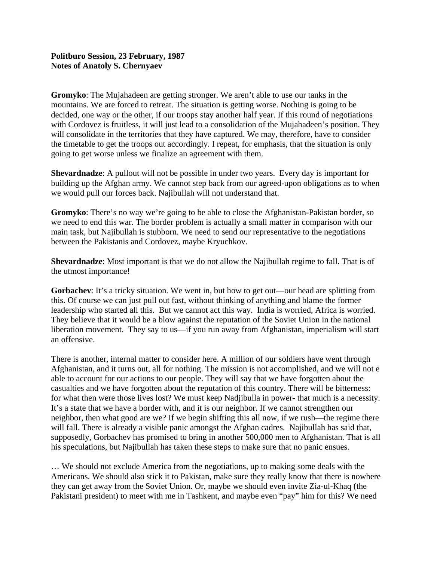## **Politburo Session, 23 February, 1987 Notes of Anatoly S. Chernyaev**

**Gromyko**: The Mujahadeen are getting stronger. We aren't able to use our tanks in the mountains. We are forced to retreat. The situation is getting worse. Nothing is going to be decided, one way or the other, if our troops stay another half year. If this round of negotiations with Cordovez is fruitless, it will just lead to a consolidation of the Mujahadeen's position. They will consolidate in the territories that they have captured. We may, therefore, have to consider the timetable to get the troops out accordingly. I repeat, for emphasis, that the situation is only going to get worse unless we finalize an agreement with them.

**Shevardnadze**: A pullout will not be possible in under two years. Every day is important for building up the Afghan army. We cannot step back from our agreed-upon obligations as to when we would pull our forces back. Najibullah will not understand that.

**Gromyko**: There's no way we're going to be able to close the Afghanistan-Pakistan border, so we need to end this war. The border problem is actually a small matter in comparison with our main task, but Najibullah is stubborn. We need to send our representative to the negotiations between the Pakistanis and Cordovez, maybe Kryuchkov.

**Shevardnadze**: Most important is that we do not allow the Najibullah regime to fall. That is of the utmost importance!

**Gorbachev**: It's a tricky situation. We went in, but how to get out—our head are splitting from this. Of course we can just pull out fast, without thinking of anything and blame the former leadership who started all this. But we cannot act this way. India is worried, Africa is worried. They believe that it would be a blow against the reputation of the Soviet Union in the national liberation movement. They say to us—if you run away from Afghanistan, imperialism will start an offensive.

There is another, internal matter to consider here. A million of our soldiers have went through Afghanistan, and it turns out, all for nothing. The mission is not accomplished, and we will not e able to account for our actions to our people. They will say that we have forgotten about the casualties and we have forgotten about the reputation of this country. There will be bitterness: for what then were those lives lost? We must keep Nadjibulla in power- that much is a necessity. It's a state that we have a border with, and it is our neighbor. If we cannot strengthen our neighbor, then what good are we? If we begin shifting this all now, if we rush—the regime there will fall. There is already a visible panic amongst the Afghan cadres. Najibullah has said that, supposedly, Gorbachev has promised to bring in another 500,000 men to Afghanistan. That is all his speculations, but Najibullah has taken these steps to make sure that no panic ensues.

… We should not exclude America from the negotiations, up to making some deals with the Americans. We should also stick it to Pakistan, make sure they really know that there is nowhere they can get away from the Soviet Union. Or, maybe we should even invite Zia-ul-Khaq (the Pakistani president) to meet with me in Tashkent, and maybe even "pay" him for this? We need